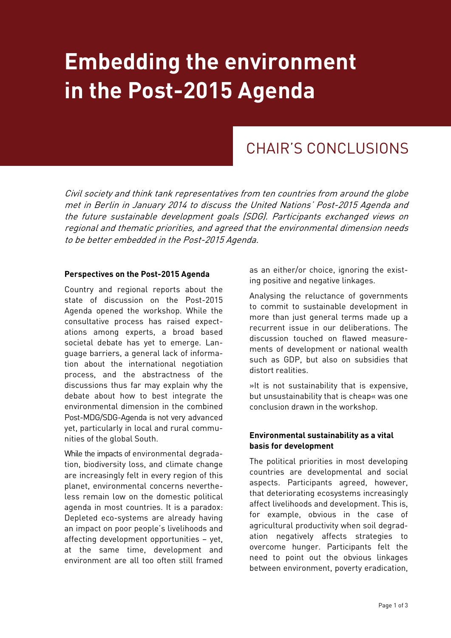# **Embedding the environment in the Post-2015 Agenda**

## CHAIR'S CONCLUSIONS

Civil society and think tank representatives from ten countries from around the globe met in Berlin in January 2014 to discuss the United Nations' Post-2015 Agenda and the future sustainable development goals (SDG). Participants exchanged views on regional and thematic priorities, and agreed that the environmental dimension needs to be better embedded in the Post-2015 Agenda.

#### **Perspectives on the Post-2015 Agenda**

Country and regional reports about the state of discussion on the Post-2015 Agenda opened the workshop. While the consultative process has raised expectations among experts, a broad based societal debate has yet to emerge. Language barriers, a general lack of information about the international negotiation process, and the abstractness of the discussions thus far may explain why the debate about how to best integrate the environmental dimension in the combined Post-MDG/SDG-Agenda is not very advanced yet, particularly in local and rural communities of the global South.

While the impacts of environmental degradation, biodiversity loss, and climate change are increasingly felt in every region of this planet, environmental concerns nevertheless remain low on the domestic political agenda in most countries. It is a paradox: Depleted eco-systems are already having an impact on poor people's livelihoods and affecting development opportunities – yet, at the same time, development and environment are all too often still framed

as an either/or choice, ignoring the existing positive and negative linkages.

Analysing the reluctance of governments to commit to sustainable development in more than just general terms made up a recurrent issue in our deliberations. The discussion touched on flawed measurements of development or national wealth such as GDP, but also on subsidies that distort realities.

»It is not sustainability that is expensive, but unsustainability that is cheap« was one conclusion drawn in the workshop.

#### **Environmental sustainability as a vital basis for development**

The political priorities in most developing countries are developmental and social aspects. Participants agreed, however, that deteriorating ecosystems increasingly affect livelihoods and development. This is, for example, obvious in the case of agricultural productivity when soil degradation negatively affects strategies to overcome hunger. Participants felt the need to point out the obvious linkages between environment, poverty eradication,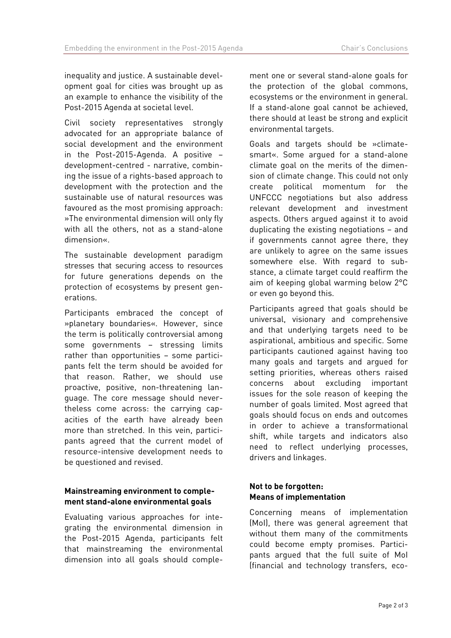inequality and justice. A sustainable development goal for cities was brought up as an example to enhance the visibility of the Post-2015 Agenda at societal level.

Civil society representatives strongly advocated for an appropriate balance of social development and the environment in the Post-2015-Agenda. A positive – development-centred - narrative, combining the issue of a rights-based approach to development with the protection and the sustainable use of natural resources was favoured as the most promising approach: »The environmental dimension will only fly with all the others, not as a stand-alone dimension«.

The sustainable development paradigm stresses that securing access to resources for future generations depends on the protection of ecosystems by present generations.

Participants embraced the concept of »planetary boundaries«. However, since the term is politically controversial among some governments – stressing limits rather than opportunities – some participants felt the term should be avoided for that reason. Rather, we should use proactive, positive, non-threatening language. The core message should nevertheless come across: the carrying capacities of the earth have already been more than stretched. In this vein, participants agreed that the current model of resource-intensive development needs to be questioned and revised.

### **Mainstreaming environment to complement stand-alone environmental goals**

Evaluating various approaches for integrating the environmental dimension in the Post-2015 Agenda, participants felt that mainstreaming the environmental dimension into all goals should complement one or several stand-alone goals for the protection of the global commons, ecosystems or the environment in general. If a stand-alone goal cannot be achieved, there should at least be strong and explicit environmental targets.

Goals and targets should be »climatesmart«. Some argued for a stand-alone climate goal on the merits of the dimension of climate change. This could not only create political momentum for the UNFCCC negotiations but also address relevant development and investment aspects. Others argued against it to avoid duplicating the existing negotiations – and if governments cannot agree there, they are unlikely to agree on the same issues somewhere else. With regard to substance, a climate target could reaffirm the aim of keeping global warming below 2°C or even go beyond this.

Participants agreed that goals should be universal, visionary and comprehensive and that underlying targets need to be aspirational, ambitious and specific. Some participants cautioned against having too many goals and targets and argued for setting priorities, whereas others raised concerns about excluding important issues for the sole reason of keeping the number of goals limited. Most agreed that goals should focus on ends and outcomes in order to achieve a transformational shift, while targets and indicators also need to reflect underlying processes, drivers and linkages.

### **Not to be forgotten: Means of implementation**

Concerning means of implementation (MoI), there was general agreement that without them many of the commitments could become empty promises. Participants argued that the full suite of MoI (financial and technology transfers, eco